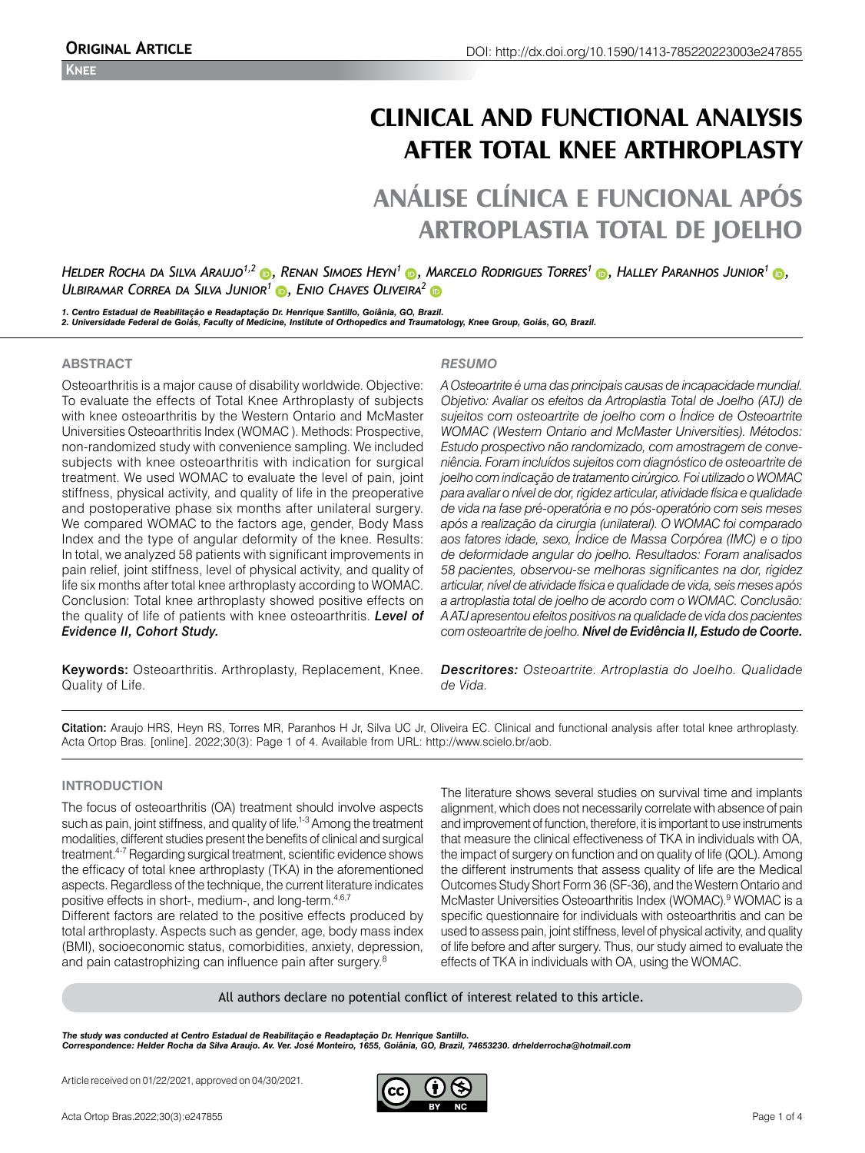# **CLINICAL AND FUNCTIONAL ANALYSIS AFTER TOTAL KNEE ARTHROPLASTY**

# **ANÁLISE CLÍNICA E FUNCIONAL APÓS ARTROPLASTIA TOTAL DE JOELHO**

*Helder Rocha da Silva Araujo1,2 [,](https://orcid.org/0000-0003-1411-2233) Renan Simoes Heyn<sup>1</sup> [,](https://orcid.org/0000-0002-5025-3829) Marcelo Rodrigues Torres<sup>1</sup> [,](https://orcid.org/0000-0001-8468-7273) Halley Paranhos Junior<sup>1</sup> [,](https://orcid.org/0000-0001-8646-6714) Ulbiramar Correa da Silva Junior<sup>1</sup> [,](https://orcid.org/0000-0001-7589-2398) Enio Chaves Oliveira<sup>2</sup>*

1. Centro Estadual de Reabilitação e Readaptação Dr. Henrique Santillo, Goiânia, GO, Brazil.<br>2. Universidade Federal de Goiás, Faculty of Medicine, Institute of Orthopedics and Traumatology, Knee Group, Goiás, GO, Brazil.

# **ABSTRACT**

Osteoarthritis is a major cause of disability worldwide. Objective: To evaluate the effects of Total Knee Arthroplasty of subjects with knee osteoarthritis by the Western Ontario and McMaster Universities Osteoarthritis Index (WOMAC ). Methods: Prospective, non-randomized study with convenience sampling. We included subjects with knee osteoarthritis with indication for surgical treatment. We used WOMAC to evaluate the level of pain, joint stiffness, physical activity, and quality of life in the preoperative and postoperative phase six months after unilateral surgery. We compared WOMAC to the factors age, gender, Body Mass Index and the type of angular deformity of the knee. Results: In total, we analyzed 58 patients with significant improvements in pain relief, joint stiffness, level of physical activity, and quality of life six months after total knee arthroplasty according to WOMAC. Conclusion: Total knee arthroplasty showed positive effects on the quality of life of patients with knee osteoarthritis. *Level of Evidence II, Cohort Study.*

Keywords: Osteoarthritis. Arthroplasty, Replacement, Knee. Quality of Life.

### *RESUMO*

*A Osteoartrite é uma das principais causas de incapacidade mundial. Objetivo: Avaliar os efeitos da Artroplastia Total de Joelho (ATJ) de sujeitos com osteoartrite de joelho com o Índice de Osteoartrite WOMAC (Western Ontario and McMaster Universities). Métodos: Estudo prospectivo não randomizado, com amostragem de conveniência. Foram incluídos sujeitos com diagnóstico de osteoartrite de joelho com indicação de tratamento cirúrgico. Foi utilizado o WOMAC para avaliar o nível de dor, rigidez articular, atividade física e qualidade de vida na fase pré-operatória e no pós-operatório com seis meses após a realização da cirurgia (unilateral). O WOMAC foi comparado aos fatores idade, sexo, Índice de Massa Corpórea (IMC) e o tipo de deformidade angular do joelho. Resultados: Foram analisados 58 pacientes, observou-se melhoras significantes na dor, rigidez articular, nível de atividade física e qualidade de vida, seis meses após a artroplastia total de joelho de acordo com o WOMAC. Conclusão: A ATJ apresentou efeitos positivos na qualidade de vida dos pacientes com osteoartrite de joelho. Nível de Evidência II, Estudo de Coorte.*

*Descritores: Osteoartrite. Artroplastia do Joelho. Qualidade de Vida.*

Citation: Araujo HRS, Heyn RS, Torres MR, Paranhos H Jr, Silva UC Jr, Oliveira EC. Clinical and functional analysis after total knee arthroplasty. Acta Ortop Bras. [online]. 2022;30(3): Page 1 of 4. Available from URL: http://www.scielo.br/aob.

## **INTRODUCTION**

The focus of osteoarthritis (OA) treatment should involve aspects such as pain, joint stiffness, and quality of life.<sup>1-3</sup> Among the treatment modalities, different studies present the benefits of clinical and surgical treatment.4-7 Regarding surgical treatment, scientific evidence shows the efficacy of total knee arthroplasty (TKA) in the aforementioned aspects. Regardless of the technique, the current literature indicates positive effects in short-, medium-, and long-term.4,6,7

Different factors are related to the positive effects produced by total arthroplasty. Aspects such as gender, age, body mass index (BMI), socioeconomic status, comorbidities, anxiety, depression, and pain catastrophizing can influence pain after surgery.<sup>8</sup>

The literature shows several studies on survival time and implants alignment, which does not necessarily correlate with absence of pain and improvement of function, therefore, it is important to use instruments that measure the clinical effectiveness of TKA in individuals with OA, the impact of surgery on function and on quality of life (QOL). Among the different instruments that assess quality of life are the Medical Outcomes Study Short Form 36 (SF-36), and the Western Ontario and McMaster Universities Osteoarthritis Index (WOMAC).<sup>9</sup> WOMAC is a specific questionnaire for individuals with osteoarthritis and can be used to assess pain, joint stiffness, level of physical activity, and quality of life before and after surgery. Thus, our study aimed to evaluate the effects of TKA in individuals with OA, using the WOMAC.

All authors declare no potential conflict of interest related to this article.

*The study was conducted at Centro Estadual de Reabilitação e Readaptação Dr. Henrique Santillo. Correspondence: Helder Rocha da Silva Araujo. Av. Ver. José Monteiro, 1655, Goiânia, GO, Brazil, 74653230. drhelderrocha@hotmail.com*

Article received on 01/22/2021, approved on 04/30/2021.

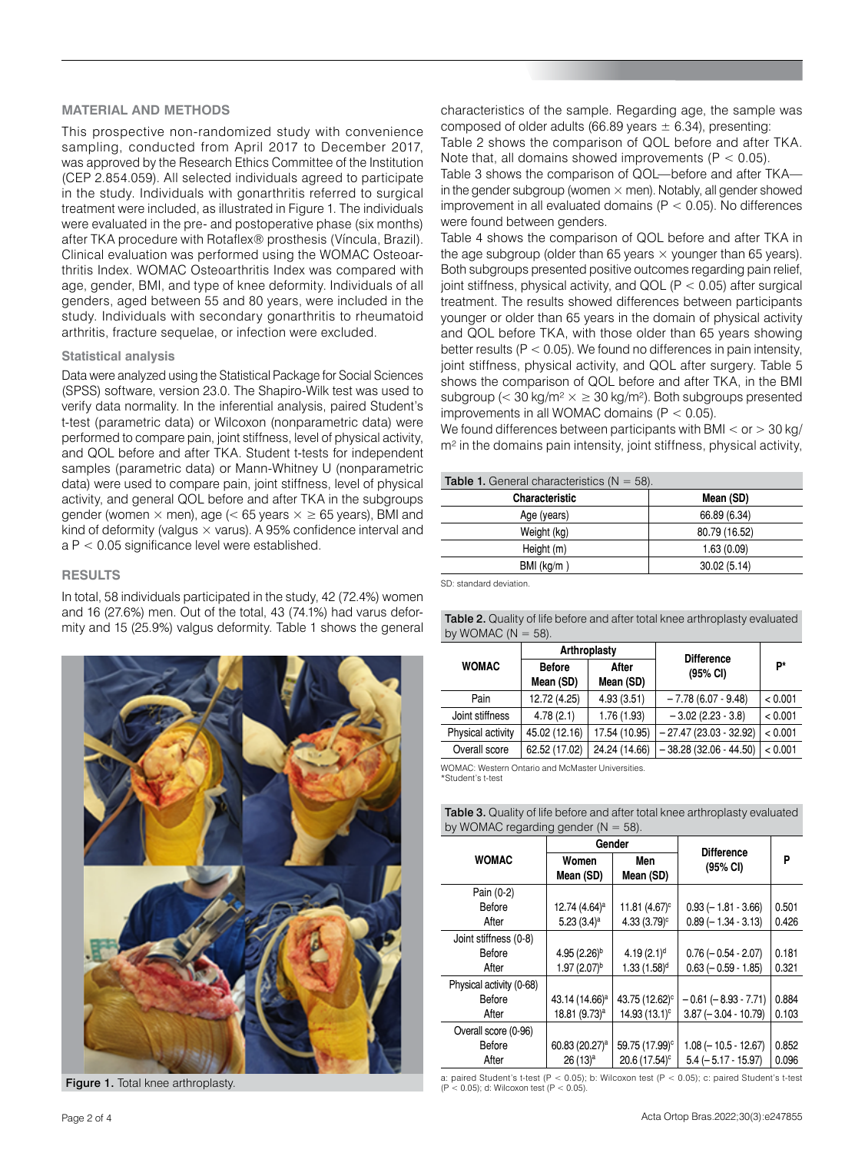#### **MATERIAL AND METHODS**

This prospective non-randomized study with convenience sampling, conducted from April 2017 to December 2017, was approved by the Research Ethics Committee of the Institution (CEP 2.854.059). All selected individuals agreed to participate in the study. Individuals with gonarthritis referred to surgical treatment were included, as illustrated in Figure 1. The individuals were evaluated in the pre- and postoperative phase (six months) after TKA procedure with Rotaflex® prosthesis (Víncula, Brazil). Clinical evaluation was performed using the WOMAC Osteoarthritis Index. WOMAC Osteoarthritis Index was compared with age, gender, BMI, and type of knee deformity. Individuals of all genders, aged between 55 and 80 years, were included in the study. Individuals with secondary gonarthritis to rheumatoid arthritis, fracture sequelae, or infection were excluded.

#### **Statistical analysis**

Data were analyzed using the Statistical Package for Social Sciences (SPSS) software, version 23.0. The Shapiro-Wilk test was used to verify data normality. In the inferential analysis, paired Student's t-test (parametric data) or Wilcoxon (nonparametric data) were performed to compare pain, joint stiffness, level of physical activity, and QOL before and after TKA. Student t-tests for independent samples (parametric data) or Mann-Whitney U (nonparametric data) were used to compare pain, joint stiffness, level of physical activity, and general QOL before and after TKA in the subgroups gender (women  $\times$  men), age (< 65 years  $\times \ge 65$  years), BMI and kind of deformity (valgus  $\times$  varus). A 95% confidence interval and a P < 0.05 significance level were established.

#### **RESULTS**

In total, 58 individuals participated in the study, 42 (72.4%) women and 16 (27.6%) men. Out of the total, 43 (74.1%) had varus deformity and 15 (25.9%) valgus deformity. Table 1 shows the general



characteristics of the sample. Regarding age, the sample was composed of older adults (66.89 years  $\pm$  6.34), presenting:

Table 2 shows the comparison of QOL before and after TKA. Note that, all domains showed improvements  $(P < 0.05)$ .

Table 3 shows the comparison of QOL—before and after TKA in the gender subgroup (women  $\times$  men). Notably, all gender showed improvement in all evaluated domains ( $P < 0.05$ ). No differences were found between genders.

Table 4 shows the comparison of QOL before and after TKA in the age subgroup (older than 65 years  $\times$  younger than 65 years). Both subgroups presented positive outcomes regarding pain relief, joint stiffness, physical activity, and QOL (P < 0.05) after surgical treatment. The results showed differences between participants younger or older than 65 years in the domain of physical activity and QOL before TKA, with those older than 65 years showing better results ( $P < 0.05$ ). We found no differences in pain intensity, joint stiffness, physical activity, and QOL after surgery. Table 5 shows the comparison of QOL before and after TKA, in the BMI subgroup (< 30 kg/m<sup>2</sup>  $\times \geq 30$  kg/m<sup>2</sup>). Both subgroups presented improvements in all WOMAC domains  $(P < 0.05)$ .

We found differences between participants with BMI  $<$  or  $>$  30 kg/ m<sup>2</sup> in the domains pain intensity, joint stiffness, physical activity,

| <b>Table 1.</b> General characteristics $(N = 58)$ . |               |  |  |
|------------------------------------------------------|---------------|--|--|
| <b>Characteristic</b>                                | Mean (SD)     |  |  |
| Age (years)                                          | 66.89 (6.34)  |  |  |
| Weight (kg)                                          | 80.79 (16.52) |  |  |
| Height (m)                                           | 1.63(0.09)    |  |  |
| $BMl$ (kg/m)                                         | 30.02(5.14)   |  |  |

SD: standard deviation.

| <b>Table 2.</b> Quality of life before and after total knee arthroplasty evaluated |
|------------------------------------------------------------------------------------|
| by WOMAC $(N = 58)$ .                                                              |

|                   |                            | Arthroplasty       | <b>Difference</b><br>(95% CI) | P*      |
|-------------------|----------------------------|--------------------|-------------------------------|---------|
| <b>WOMAC</b>      | <b>Before</b><br>Mean (SD) | After<br>Mean (SD) |                               |         |
| Pain              | 12.72 (4.25)               | 4.93(3.51)         | $-7.78(6.07 - 9.48)$          | < 0.001 |
| Joint stiffness   | 4.78(2.1)                  | 1.76(1.93)         | $-3.02(2.23 - 3.8)$           | < 0.001 |
| Physical activity | 45.02 (12.16)              | 17.54 (10.95)      | $-27.47(23.03 - 32.92)$       | < 0.001 |
| Overall score     | 62.52 (17.02)              | 24.24 (14.66)      | $-38.28(32.06 - 44.50)$       | < 0.001 |

WOMAC: Western Ontario and McMaster Universities.

\*Student's t-test

| <b>Table 3.</b> Quality of life before and after total knee arthroplasty evaluated |
|------------------------------------------------------------------------------------|
| by WOMAC regarding gender $(N = 58)$ .                                             |

|                          | Gender                     |                            | <b>Difference</b>          |       |
|--------------------------|----------------------------|----------------------------|----------------------------|-------|
| <b>WOMAC</b>             | Women<br>Mean (SD)         | Men<br>Mean (SD)           | (95% CI)                   | P     |
| Pain (0-2)               |                            |                            |                            |       |
| Before                   | 12.74 (4.64) <sup>a</sup>  | 11.81 (4.67) <sup>c</sup>  | $0.93 (-1.81 - 3.66)$      | 0.501 |
| After                    | 5.23 $(3.4)^a$             | $4.33(3.79)$ <sup>c</sup>  | $0.89(-1.34 - 3.13)$       | 0.426 |
| Joint stiffness (0-8)    |                            |                            |                            |       |
| Before                   | 4.95 $(2.26)^b$            | 4.19 $(2.1)^d$             | $0.76 (-0.54 - 2.07)$      | 0.181 |
| After                    | $1.97(2.07)^b$             | $1.33(1.58)^d$             | $0.63 (-0.59 - 1.85)$      | 0.321 |
| Physical activity (0-68) |                            |                            |                            |       |
| Before                   | 43.14 (14.66) <sup>a</sup> | 43.75 (12.62) <sup>c</sup> | $-0.61$ ( $-8.93 - 7.71$ ) | 0.884 |
| After                    | 18.81 (9.73) <sup>a</sup>  | 14.93 (13.1) <sup>c</sup>  | $3.87 (-3.04 - 10.79)$     | 0.103 |
| Overall score (0-96)     |                            |                            |                            |       |
| Before                   | 60.83 (20.27) <sup>a</sup> | 59.75 (17.99) <sup>c</sup> | $1.08 (-10.5 - 12.67)$     | 0.852 |
| After                    | $26(13)^a$                 | 20.6 (17.54) <sup>c</sup>  | $5.4 (-5.17 - 15.97)$      | 0.096 |

Figure 1. Total knee arthroplasty.<br>
(P < 0.05); d: Wilcoxon test (P < 0.05); b: Wilcoxon test (P < 0.05); c: paired Student's t-test (P < 0.05); d: Wilcoxon test (P < 0.05); c: paired Student's t-test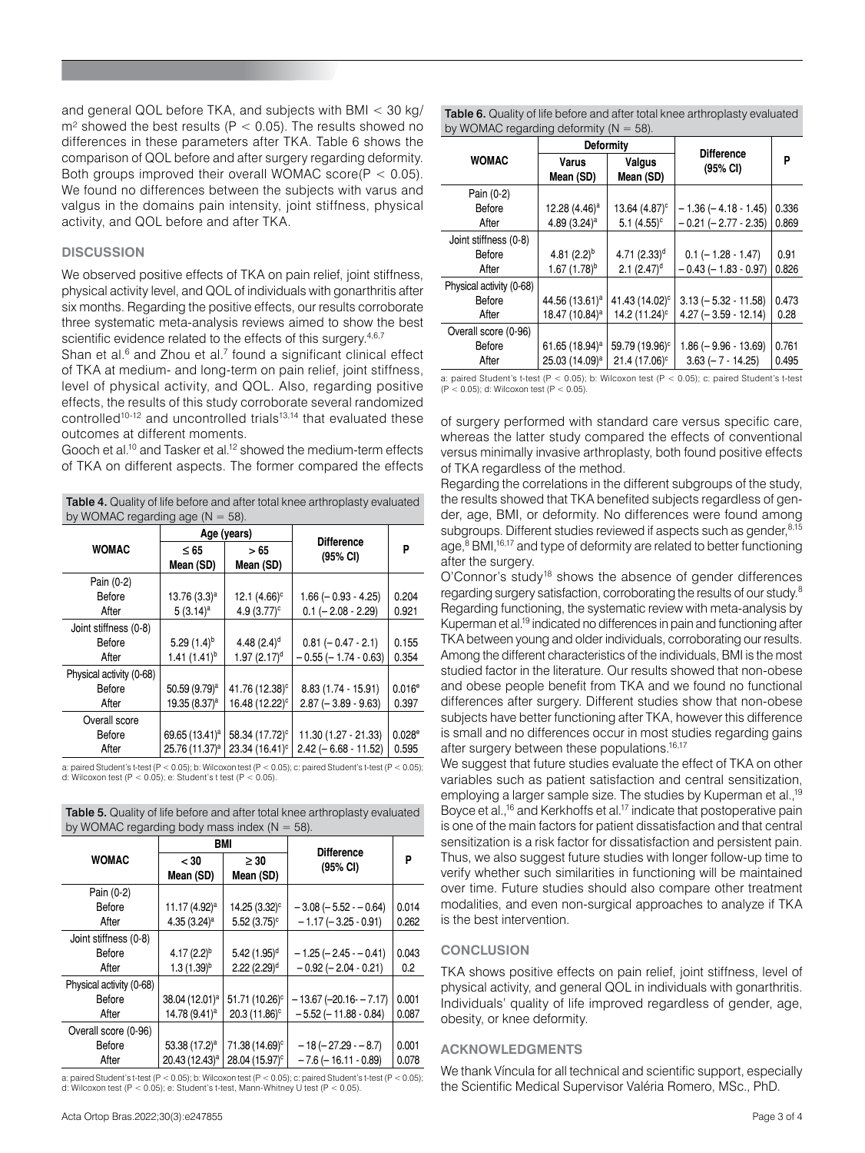and general QOL before TKA, and subjects with BMI < 30 kg/  $m<sup>2</sup>$  showed the best results (P < 0.05). The results showed no differences in these parameters after TKA. Table 6 shows the comparison of QOL before and after surgery regarding deformity. Both groups improved their overall WOMAC score( $P < 0.05$ ). We found no differences between the subjects with varus and valgus in the domains pain intensity, joint stiffness, physical activity, and QOL before and after TKA.

### **DISCUSSION**

We observed positive effects of TKA on pain relief, joint stiffness, physical activity level, and QOL of individuals with gonarthritis after six months. Regarding the positive effects, our results corroborate three systematic meta-analysis reviews aimed to show the best scientific evidence related to the effects of this surgery.<sup>4,6,7</sup>

Shan et al. $6$  and Zhou et al. $7$  found a significant clinical effect of TKA at medium- and long-term on pain relief, joint stiffness, level of physical activity, and QOL. Also, regarding positive effects, the results of this study corroborate several randomized controlled10-12 and uncontrolled trials13,14 that evaluated these outcomes at different moments.

Gooch et al.10 and Tasker et al.12 showed the medium-term effects of TKA on different aspects. The former compared the effects

Table 4. Quality of life before and after total knee arthroplasty evaluated by WOMAC regarding age  $(N = 58)$ .

|                          | Age (years)                |                            | <b>Difference</b>          |           |
|--------------------------|----------------------------|----------------------------|----------------------------|-----------|
| <b>WOMAC</b>             | $\leq 65$<br>Mean (SD)     | > 65<br>Mean (SD)          | (95% CI)                   | P         |
| Pain (0-2)               |                            |                            |                            |           |
| Before                   | $13.76(3.3)^a$             | 12.1 $(4.66)^c$            | $1.66 (-0.93 - 4.25)$      | 0.204     |
| After                    | $5(3.14)^a$                | 4.9 $(3.77)^c$             | $0.1 (-2.08 - 2.29)$       | 0.921     |
| Joint stiffness (0-8)    |                            |                            |                            |           |
| Before                   | $5.29(1.4)^{b}$            | 4.48 $(2.4)^d$             | $0.81 (-0.47 - 2.1)$       | 0.155     |
| After                    | $1.41(1.41)^{b}$           | $1.97(2.17)$ <sup>d</sup>  | $-0.55$ ( $-1.74 - 0.63$ ) | 0.354     |
| Physical activity (0-68) |                            |                            |                            |           |
| Before                   | 50.59 (9.79) <sup>a</sup>  | 41.76 (12.38) <sup>c</sup> | $8.83(1.74 - 15.91)$       | $0.016^e$ |
| After                    | 19.35 (8.37) <sup>a</sup>  | 16.48 (12.22) <sup>c</sup> | $2.87$ ( $-3.89 - 9.63$ )  | 0.397     |
| Overall score            |                            |                            |                            |           |
| Before                   | 69.65 (13.41) <sup>a</sup> | 58.34 (17.72) <sup>c</sup> | 11.30 (1.27 - 21.33)       | 0.028e    |
| After                    | 25.76 (11.37) <sup>a</sup> | 23.34 (16.41) <sup>c</sup> | $2.42 (-6.68 - 11.52)$     | 0.595     |

a: paired Student's t-test (P < 0.05); b: Wilcoxon test (P < 0.05); c: paired Student's t-test (P < 0.05); d: Wilcoxon test  $(P < 0.05)$ ; e: Student's t test  $(P < 0.05)$ .

| <b>Table 5.</b> Quality of life before and after total knee arthroplasty evaluated |
|------------------------------------------------------------------------------------|
| by WOMAC regarding body mass index ( $N = 58$ ).                                   |

|                          | <b>BMI</b>                 |                            | <b>Difference</b>           |       |
|--------------------------|----------------------------|----------------------------|-----------------------------|-------|
| <b>WOMAC</b>             | $<$ 30<br>Mean (SD)        | $\geq 30$<br>Mean (SD)     | $(95% \text{ Cl})$          | P     |
| Pain (0-2)               |                            |                            |                             |       |
| Before                   | 11.17 (4.92) <sup>a</sup>  | 14.25 (3.32) <sup>c</sup>  | $-3.08$ ( $-5.52 - 0.64$ )  | 0.014 |
| After                    | 4.35 $(3.24)^a$            | $5.52(3.75)$ °             | $-1.17(-3.25-0.91)$         | 0.262 |
| Joint stiffness (0-8)    |                            |                            |                             |       |
| Before                   | 4.17 $(2.2)^{b}$           | $5.42(1.95)^d$             | $-1.25$ ( $-2.45 - 0.41$ )  | 0.043 |
| After                    | $1.3(1.39)^{b}$            | $2.22$ (2.29) <sup>d</sup> | $-0.92$ ( $-2.04 - 0.21$ )  | 0.2   |
| Physical activity (0-68) |                            |                            |                             |       |
| Before                   | 38.04 (12.01) <sup>a</sup> | 51.71 (10.26) <sup>c</sup> | $-13.67$ (-20.16- $-7.17$ ) | 0.001 |
| After                    | 14.78 (9.41) <sup>a</sup>  | 20.3 (11.86) <sup>c</sup>  | $-5.52$ ( $-11.88 - 0.84$ ) | 0.087 |
| Overall score (0-96)     |                            |                            |                             |       |
| Before                   | 53.38 $(17.2)^a$           | 71.38 (14.69) <sup>c</sup> | $-18 (-27.29 - 8.7)$        | 0.001 |
| After                    | 20.43 (12.43) <sup>a</sup> | 28.04 (15.97) <sup>c</sup> | $-7.6$ ( $-16.11 - 0.89$ )  | 0.078 |

a: paired Student's t-test (P < 0.05); b: Wilcoxon test (P < 0.05); c: paired Student's t-test (P < 0.05); d: Wilcoxon test (P < 0.05); e: Student's t-test, Mann-Whitney U test (P < 0.05).

|                          | <b>Deformity</b>           |                            |                               |       |
|--------------------------|----------------------------|----------------------------|-------------------------------|-------|
| <b>WOMAC</b>             | <b>Varus</b><br>Mean (SD)  | Valgus<br>Mean (SD)        | <b>Difference</b><br>(95% CI) | P     |
| Pain (0-2)               |                            |                            |                               |       |
| Before                   | 12.28 (4.46) <sup>a</sup>  | 13.64 (4.87) <sup>c</sup>  | $-1.36(-4.18-1.45)$           | 0.336 |
| After                    | 4.89 $(3.24)^a$            | $5.1(4.55)^c$              | $-0.21$ ( $-2.77 - 2.35$ )    | 0.869 |
| Joint stiffness (0-8)    |                            |                            |                               |       |
| Before                   | 4.81 $(2.2)^{b}$           | 4.71 (2.33) <sup>d</sup>   | $0.1$ (-1.28 - 1.47)          | 0.91  |
| After                    | $1.67(1.78)^{b}$           | $2.1 (2.47)^d$             | $-0.43$ ( $-1.83 - 0.97$ )    | 0.826 |
| Physical activity (0-68) |                            |                            |                               |       |
| Before                   | 44.56 (13.61) <sup>a</sup> | 41.43 (14.02) <sup>c</sup> | $3.13 (-5.32 - 11.58)$        | 0.473 |
| After                    | 18.47 (10.84) <sup>a</sup> | 14.2 (11.24) <sup>c</sup>  | $4.27 (-3.59 - 12.14)$        | 0.28  |
| Overall score (0-96)     |                            |                            |                               |       |
| Before                   | 61.65 (18.94) <sup>a</sup> | 59.79 (19.96) <sup>c</sup> | $1.86 (-9.96 - 13.69)$        | 0.761 |
| After                    | 25.03 (14.09) <sup>a</sup> | 21.4 (17.06) <sup>c</sup>  | $3.63$ (-7 - 14.25)           | 0.495 |

a: paired Student's t-test (P < 0.05); b: Wilcoxon test (P < 0.05); c: paired Student's t-test (P < 0.05); d: Wilcoxon test (P < 0.05).

of surgery performed with standard care versus specific care, whereas the latter study compared the effects of conventional versus minimally invasive arthroplasty, both found positive effects of TKA regardless of the method.

Regarding the correlations in the different subgroups of the study, the results showed that TKA benefited subjects regardless of gender, age, BMI, or deformity. No differences were found among subgroups. Different studies reviewed if aspects such as gender, 8,15 age,<sup>8</sup> BMI,<sup>16,17</sup> and type of deformity are related to better functioning after the surgery.

O'Connor's study18 shows the absence of gender differences regarding surgery satisfaction, corroborating the results of our study.8 Regarding functioning, the systematic review with meta-analysis by Kuperman et al.19 indicated no differences in pain and functioning after TKA between young and older individuals, corroborating our results. Among the different characteristics of the individuals, BMI is the most studied factor in the literature. Our results showed that non-obese and obese people benefit from TKA and we found no functional differences after surgery. Different studies show that non-obese subjects have better functioning after TKA, however this difference is small and no differences occur in most studies regarding gains after surgery between these populations.<sup>16,17</sup>

We suggest that future studies evaluate the effect of TKA on other variables such as patient satisfaction and central sensitization, employing a larger sample size. The studies by Kuperman et al.,<sup>19</sup> Boyce et al.,<sup>16</sup> and Kerkhoffs et al.<sup>17</sup> indicate that postoperative pain is one of the main factors for patient dissatisfaction and that central sensitization is a risk factor for dissatisfaction and persistent pain. Thus, we also suggest future studies with longer follow-up time to verify whether such similarities in functioning will be maintained over time. Future studies should also compare other treatment modalities, and even non-surgical approaches to analyze if TKA is the best intervention.

## **CONCLUSION**

TKA shows positive effects on pain relief, joint stiffness, level of physical activity, and general QOL in individuals with gonarthritis. Individuals' quality of life improved regardless of gender, age, obesity, or knee deformity.

#### **ACKNOWLEDGMENTS**

We thank Víncula for all technical and scientific support, especially the Scientific Medical Supervisor Valéria Romero, MSc., PhD.